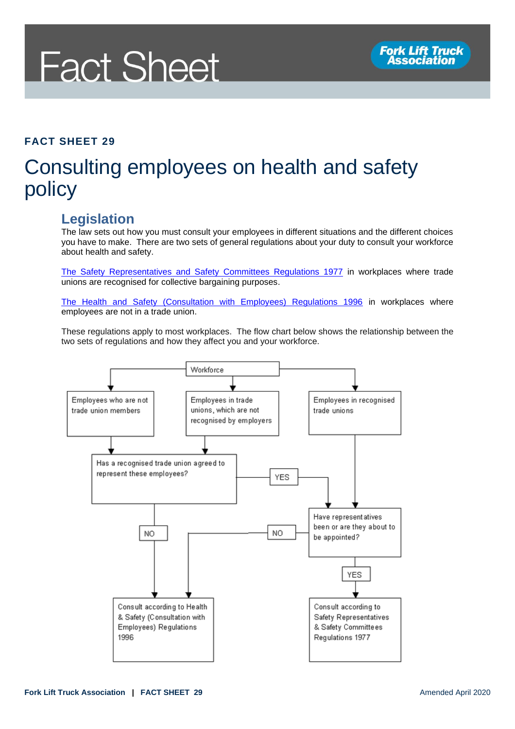# **Fact Sheet**

#### **FACT SHEET 29**

### Consulting employees on health and safety policy

### **Legislation**

The law sets out how you must consult your employees in different situations and the different choices you have to make. There are two sets of general regulations about your duty to consult your workforce about health and safety.

[The Safety Representatives and Safety Committees Regulations 1977](http://www.legislation.gov.uk/uksi/1977/500/contents/made) in workplaces where trade unions are recognised for collective bargaining purposes.

[The Health and Safety \(Consultation with Employees\) Regulations 1996](http://www.legislation.gov.uk/uksi/1996/1513/contents/made) in workplaces where employees are not in a trade union.

These regulations apply to most workplaces. The flow chart below shows the relationship between the two sets of regulations and how they affect you and your workforce.

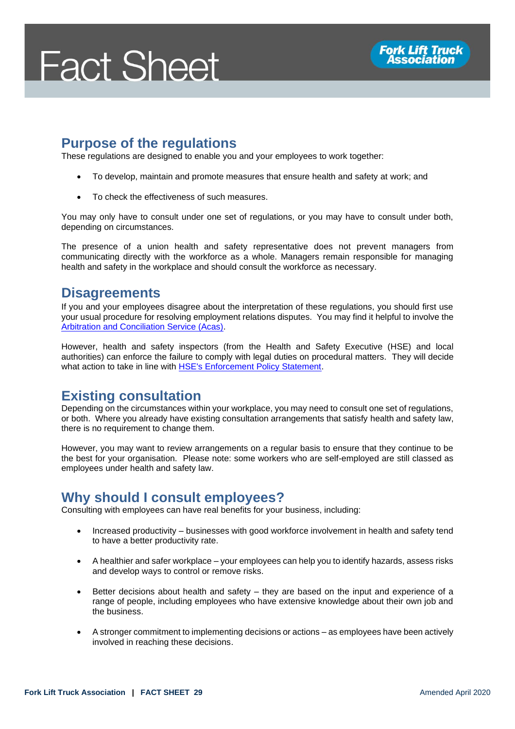## **Fact Sheet**



#### **Purpose of the regulations**

These regulations are designed to enable you and your employees to work together:

- To develop, maintain and promote measures that ensure health and safety at work; and
- To check the effectiveness of such measures.

You may only have to consult under one set of regulations, or you may have to consult under both, depending on circumstances.

The presence of a union health and safety representative does not prevent managers from communicating directly with the workforce as a whole. Managers remain responsible for managing health and safety in the workplace and should consult the workforce as necessary.

#### **Disagreements**

If you and your employees disagree about the interpretation of these regulations, you should first use your usual procedure for resolving employment relations disputes. You may find it helpful to involve the [Arbitration and Conciliation Service \(Acas\).](https://www.acas.org.uk/)

However, health and safety inspectors (from the Health and Safety Executive (HSE) and local authorities) can enforce the failure to comply with legal duties on procedural matters. They will decide what action to take in line with [HSE's Enforcement Policy Statement.](https://www.hse.gov.uk/pubns/hse41.pdf)

#### **Existing consultation**

Depending on the circumstances within your workplace, you may need to consult one set of regulations, or both. Where you already have existing consultation arrangements that satisfy health and safety law, there is no requirement to change them.

However, you may want to review arrangements on a regular basis to ensure that they continue to be the best for your organisation. Please note: some workers who are self-employed are still classed as employees under health and safety law.

#### **Why should I consult employees?**

Consulting with employees can have real benefits for your business, including:

- Increased productivity businesses with good workforce involvement in health and safety tend to have a better productivity rate.
- A healthier and safer workplace your employees can help you to identify hazards, assess risks and develop ways to control or remove risks.
- Better decisions about health and safety they are based on the input and experience of a range of people, including employees who have extensive knowledge about their own job and the business.
- A stronger commitment to implementing decisions or actions as employees have been actively involved in reaching these decisions.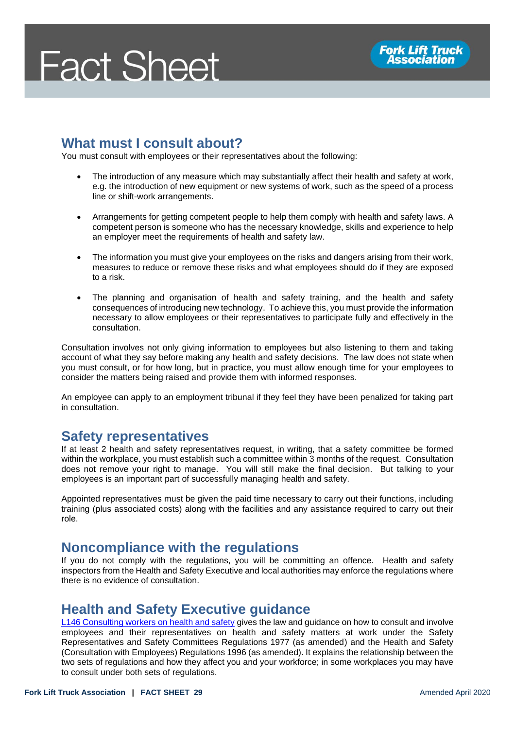# **Fact Sheet**

### **What must I consult about?**

You must consult with employees or their representatives about the following:

- The introduction of any measure which may substantially affect their health and safety at work, e.g. the introduction of new equipment or new systems of work, such as the speed of a process line or shift-work arrangements.
- Arrangements for getting competent people to help them comply with health and safety laws. A competent person is someone who has the necessary knowledge, skills and experience to help an employer meet the requirements of health and safety law.
- The information you must give your employees on the risks and dangers arising from their work, measures to reduce or remove these risks and what employees should do if they are exposed to a risk.
- The planning and organisation of health and safety training, and the health and safety consequences of introducing new technology. To achieve this, you must provide the information necessary to allow employees or their representatives to participate fully and effectively in the consultation.

Consultation involves not only giving information to employees but also listening to them and taking account of what they say before making any health and safety decisions. The law does not state when you must consult, or for how long, but in practice, you must allow enough time for your employees to consider the matters being raised and provide them with informed responses.

An employee can apply to an employment tribunal if they feel they have been penalized for taking part in consultation.

#### **Safety representatives**

If at least 2 health and safety representatives request, in writing, that a safety committee be formed within the workplace, you must establish such a committee within 3 months of the request. Consultation does not remove your right to manage. You will still make the final decision. But talking to your employees is an important part of successfully managing health and safety.

Appointed representatives must be given the paid time necessary to carry out their functions, including training (plus associated costs) along with the facilities and any assistance required to carry out their role.

#### **Noncompliance with the regulations**

If you do not comply with the regulations, you will be committing an offence. Health and safety inspectors from the Health and Safety Executive and local authorities may enforce the regulations where there is no evidence of consultation.

#### **Health and Safety Executive guidance**

[L146 Consulting workers on health and safety](https://www.hse.gov.uk/pubns/priced/l146.pdf) gives the law and guidance on how to consult and involve employees and their representatives on health and safety matters at work under the Safety Representatives and Safety Committees Regulations 1977 (as amended) and the Health and Safety (Consultation with Employees) Regulations 1996 (as amended). It explains the relationship between the two sets of regulations and how they affect you and your workforce; in some workplaces you may have to consult under both sets of regulations.